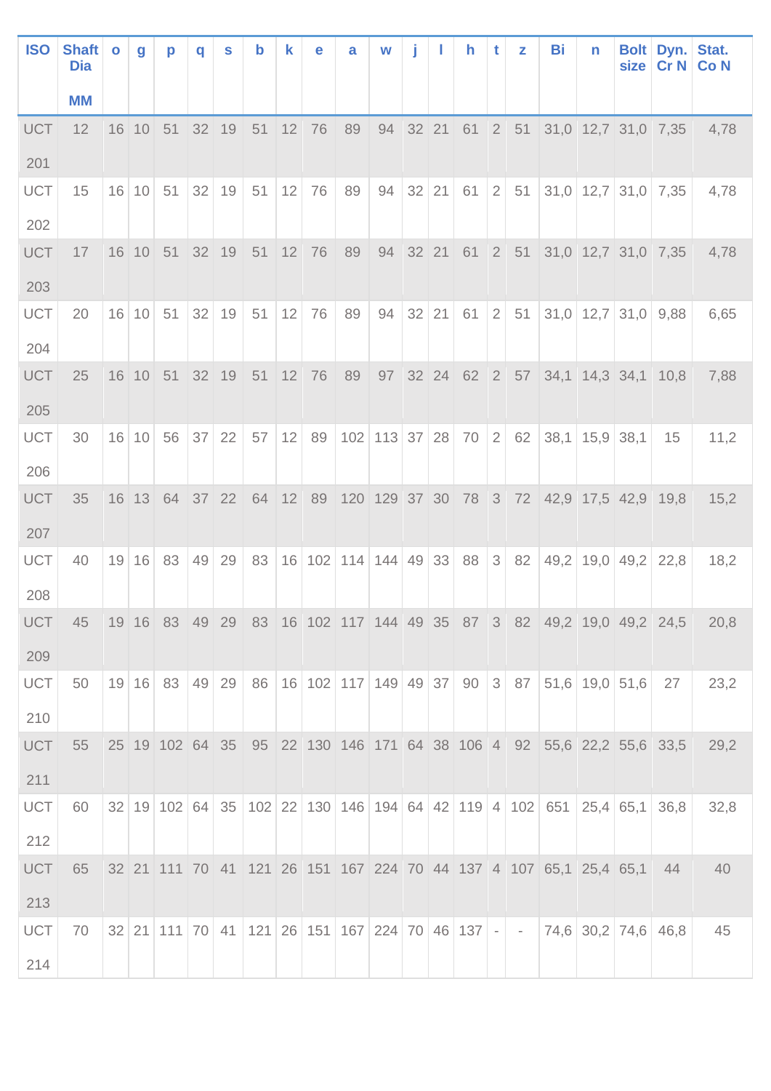| <b>ISO</b>        | <b>Shaft</b><br><b>Dia</b> | $\bullet$ | g     | p                                    | q  | S                 | $\mathbf b$ | k  | e     | a                                              | W             | j |         | h    | t              | z  | Bi                                                                | n                | size                                                                 | Bolt Dyn.<br>CrN                                                   | Stat.<br><b>Co N</b> |
|-------------------|----------------------------|-----------|-------|--------------------------------------|----|-------------------|-------------|----|-------|------------------------------------------------|---------------|---|---------|------|----------------|----|-------------------------------------------------------------------|------------------|----------------------------------------------------------------------|--------------------------------------------------------------------|----------------------|
|                   | <b>MM</b>                  |           |       |                                      |    |                   |             |    |       |                                                |               |   |         |      |                |    |                                                                   |                  |                                                                      |                                                                    |                      |
| <b>UCT</b>        | 12                         |           |       | 16 10 51                             |    | $32$ 19           | 51          |    | 12 76 | 89                                             |               |   |         |      |                |    |                                                                   |                  |                                                                      | 94 32 21 61 2 51 31,0 12,7 31,0 7,35                               | 4,78                 |
| 201               |                            |           |       |                                      |    |                   |             |    |       |                                                |               |   |         |      |                |    |                                                                   |                  |                                                                      |                                                                    |                      |
| <b>UCT</b><br>202 | 15                         |           | 16 10 | 51                                   |    | 32 19             | 51          | 12 | 76    | 89                                             | 94            |   | $32$ 21 | 61   | (2)            | 51 |                                                                   |                  | $31,0$   12,7   31,0   7,35                                          |                                                                    | 4,78                 |
| <b>UCT</b><br>203 | 17                         |           |       | $16$ 10 51                           |    | $32 \mid 19 \mid$ | 51          |    | 12 76 |                                                |               |   |         |      |                |    |                                                                   |                  | 89 94 32 21 61 2 51 31,0 12,7 31,0 7,35                              |                                                                    | 4,78                 |
| <b>UCT</b><br>204 | 20                         |           | 16 10 | 51                                   |    | $32$ 19           | 51          | 12 | 76    | 89                                             | 94            |   | 32   21 | 61   | 2 <sup>1</sup> | 51 |                                                                   |                  | $31,0$   12,7   31,0   9,88                                          |                                                                    | 6,65                 |
| <b>UCT</b><br>205 | 25                         |           |       | 16 10 51                             |    | 32 19             | $51$ 12 76  |    |       |                                                | 89 97 32 24   |   |         |      |                |    |                                                                   |                  | 62 2 57 34,1 14,3 34,1 10,8                                          |                                                                    | 7,88                 |
| <b>UCT</b><br>206 | 30                         |           | 16 10 | 56                                   | 37 | 22                | 57          | 12 | 89    |                                                | 102 113 37 28 |   |         | 70 2 |                | 62 |                                                                   | $38,1$ 15,9 38,1 |                                                                      | 15                                                                 | 11,2                 |
| <b>UCT</b><br>207 | 35                         |           |       |                                      |    |                   |             |    |       |                                                |               |   |         |      |                |    |                                                                   |                  | 16 13 64 37 22 64 12 89 120 129 37 30 78 3 72 42,9 17,5 42,9 19,8    |                                                                    | 15,2                 |
| <b>UCT</b><br>208 | 40                         |           | 19 16 | 83                                   | 49 | 29                | 83          |    |       | 16 102 114 144 49 33                           |               |   |         | 88   | 3 <sup>1</sup> | 82 | 49,2                                                              |                  | $19,0$ 49,2                                                          | 22,8                                                               | 18,2                 |
| <b>UCT</b><br>209 | 45                         |           |       |                                      |    |                   |             |    |       |                                                |               |   |         |      |                |    |                                                                   |                  |                                                                      | 19 16 83 49 29 83 16 102 117 144 49 35 87 3 82 49,2 19,0 49,2 24,5 | 20,8                 |
| UCT<br>210        | 50                         |           |       | $19 \mid 16 \mid 83 \mid 49 \mid 29$ |    |                   | 86          |    |       | 16 102 117 149 49 37 90 3 87                   |               |   |         |      |                |    |                                                                   |                  | $51,6$ 19,0 51,6                                                     | 27                                                                 | 23,2                 |
| <b>UCT</b><br>211 | 55                         |           |       |                                      |    |                   |             |    |       |                                                |               |   |         |      |                |    |                                                                   |                  | 25 19 102 64 35 95 22 130 146 171 64 38 106 4 92 55,6 22,2 55,6 33,5 |                                                                    | 29,2                 |
| UCT<br>212        | 60                         |           |       |                                      |    |                   |             |    |       |                                                |               |   |         |      |                |    |                                                                   |                  | 32 19 102 64 35 102 22 130 146 194 64 42 119 4 102 651 25,4 65,1     | 36,8                                                               | 32,8                 |
| <b>UCT</b><br>213 | 65                         |           |       |                                      |    |                   |             |    |       |                                                |               |   |         |      |                |    | 32 21 111 70 41 121 26 151 167 224 70 44 137 4 107 65,1 25,4 65,1 |                  |                                                                      | 44                                                                 | 40                   |
| <b>UCT</b><br>214 | 70                         |           |       |                                      |    |                   |             |    |       | 32 21 111 70 41 121 26 151 167 224 70 46 137 - |               |   |         |      |                |    |                                                                   |                  | 74,6 30,2 74,6 46,8                                                  |                                                                    | 45                   |